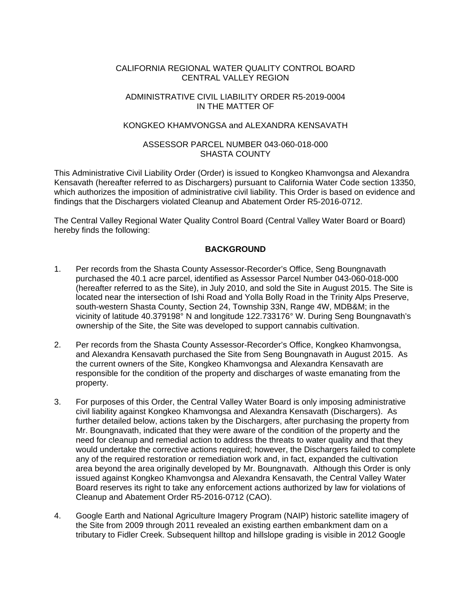#### CALIFORNIA REGIONAL WATER QUALITY CONTROL BOARD CENTRAL VALLEY REGION

#### ADMINISTRATIVE CIVIL LIABILITY ORDER R5-2019-0004 IN THE MATTER OF

#### KONGKEO KHAMVONGSA and ALEXANDRA KENSAVATH

#### ASSESSOR PARCEL NUMBER 043-060-018-000 SHASTA COUNTY

This Administrative Civil Liability Order (Order) is issued to Kongkeo Khamvongsa and Alexandra Kensavath (hereafter referred to as Dischargers) pursuant to California Water Code section 13350, which authorizes the imposition of administrative civil liability. This Order is based on evidence and findings that the Dischargers violated Cleanup and Abatement Order R5-2016-0712.

The Central Valley Regional Water Quality Control Board (Central Valley Water Board or Board) hereby finds the following:

### **BACKGROUND**

- 1. Per records from the Shasta County Assessor-Recorder's Office, Seng Boungnavath purchased the 40.1 acre parcel, identified as Assessor Parcel Number 043-060-018-000 (hereafter referred to as the Site), in July 2010, and sold the Site in August 2015. The Site is located near the intersection of Ishi Road and Yolla Bolly Road in the Trinity Alps Preserve, south-western Shasta County, Section 24, Township 33N, Range 4W, MDB&M; in the vicinity of latitude 40.379198° N and longitude 122.733176° W. During Seng Boungnavath's ownership of the Site, the Site was developed to support cannabis cultivation.
- 2. Per records from the Shasta County Assessor-Recorder's Office, Kongkeo Khamvongsa, and Alexandra Kensavath purchased the Site from Seng Boungnavath in August 2015. As the current owners of the Site, Kongkeo Khamvongsa and Alexandra Kensavath are responsible for the condition of the property and discharges of waste emanating from the property.
- 3. For purposes of this Order, the Central Valley Water Board is only imposing administrative civil liability against Kongkeo Khamvongsa and Alexandra Kensavath (Dischargers). As further detailed below, actions taken by the Dischargers, after purchasing the property from Mr. Boungnavath, indicated that they were aware of the condition of the property and the need for cleanup and remedial action to address the threats to water quality and that they would undertake the corrective actions required; however, the Dischargers failed to complete any of the required restoration or remediation work and, in fact, expanded the cultivation area beyond the area originally developed by Mr. Boungnavath. Although this Order is only issued against Kongkeo Khamvongsa and Alexandra Kensavath, the Central Valley Water Board reserves its right to take any enforcement actions authorized by law for violations of Cleanup and Abatement Order R5-2016-0712 (CAO).
- 4. Google Earth and National Agriculture Imagery Program (NAIP) historic satellite imagery of the Site from 2009 through 2011 revealed an existing earthen embankment dam on a tributary to Fidler Creek. Subsequent hilltop and hillslope grading is visible in 2012 Google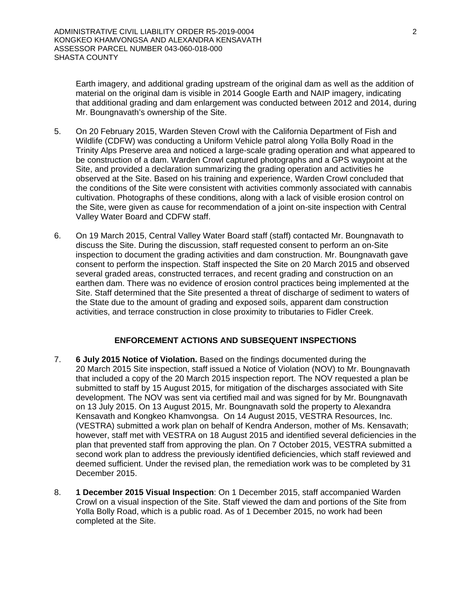Earth imagery, and additional grading upstream of the original dam as well as the addition of material on the original dam is visible in 2014 Google Earth and NAIP imagery, indicating that additional grading and dam enlargement was conducted between 2012 and 2014, during Mr. Boungnavath's ownership of the Site.

- 5. On 20 February 2015, Warden Steven Crowl with the California Department of Fish and Wildlife (CDFW) was conducting a Uniform Vehicle patrol along Yolla Bolly Road in the Trinity Alps Preserve area and noticed a large-scale grading operation and what appeared to be construction of a dam. Warden Crowl captured photographs and a GPS waypoint at the Site, and provided a declaration summarizing the grading operation and activities he observed at the Site. Based on his training and experience, Warden Crowl concluded that the conditions of the Site were consistent with activities commonly associated with cannabis cultivation. Photographs of these conditions, along with a lack of visible erosion control on the Site, were given as cause for recommendation of a joint on-site inspection with Central Valley Water Board and CDFW staff.
- 6. On 19 March 2015, Central Valley Water Board staff (staff) contacted Mr. Boungnavath to discuss the Site. During the discussion, staff requested consent to perform an on-Site inspection to document the grading activities and dam construction. Mr. Boungnavath gave consent to perform the inspection. Staff inspected the Site on 20 March 2015 and observed several graded areas, constructed terraces, and recent grading and construction on an earthen dam. There was no evidence of erosion control practices being implemented at the Site. Staff determined that the Site presented a threat of discharge of sediment to waters of the State due to the amount of grading and exposed soils, apparent dam construction activities, and terrace construction in close proximity to tributaries to Fidler Creek.

### **ENFORCEMENT ACTIONS AND SUBSEQUENT INSPECTIONS**

- 7. **6 July 2015 Notice of Violation.** Based on the findings documented during the 20 March 2015 Site inspection, staff issued a Notice of Violation (NOV) to Mr. Boungnavath that included a copy of the 20 March 2015 inspection report. The NOV requested a plan be submitted to staff by 15 August 2015, for mitigation of the discharges associated with Site development. The NOV was sent via certified mail and was signed for by Mr. Boungnavath on 13 July 2015. On 13 August 2015, Mr. Boungnavath sold the property to Alexandra Kensavath and Kongkeo Khamvongsa. On 14 August 2015, VESTRA Resources, Inc. (VESTRA) submitted a work plan on behalf of Kendra Anderson, mother of Ms. Kensavath; however, staff met with VESTRA on 18 August 2015 and identified several deficiencies in the plan that prevented staff from approving the plan. On 7 October 2015, VESTRA submitted a second work plan to address the previously identified deficiencies, which staff reviewed and deemed sufficient. Under the revised plan, the remediation work was to be completed by 31 December 2015.
- 8. **1 December 2015 Visual Inspection**: On 1 December 2015, staff accompanied Warden Crowl on a visual inspection of the Site. Staff viewed the dam and portions of the Site from Yolla Bolly Road, which is a public road. As of 1 December 2015, no work had been completed at the Site.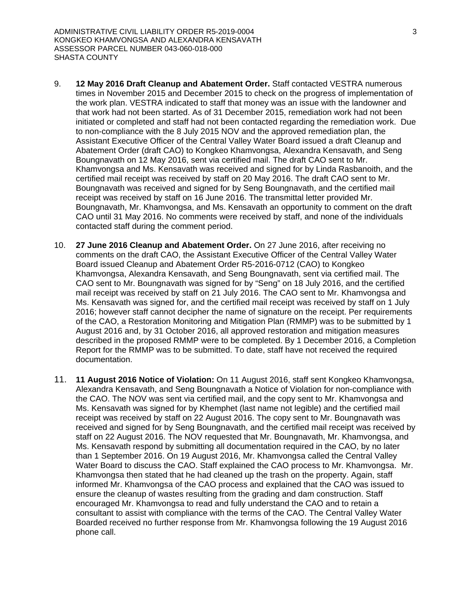- 9. **12 May 2016 Draft Cleanup and Abatement Order.** Staff contacted VESTRA numerous times in November 2015 and December 2015 to check on the progress of implementation of the work plan. VESTRA indicated to staff that money was an issue with the landowner and that work had not been started. As of 31 December 2015, remediation work had not been initiated or completed and staff had not been contacted regarding the remediation work. Due to non-compliance with the 8 July 2015 NOV and the approved remediation plan, the Assistant Executive Officer of the Central Valley Water Board issued a draft Cleanup and Abatement Order (draft CAO) to Kongkeo Khamvongsa, Alexandra Kensavath, and Seng Boungnavath on 12 May 2016, sent via certified mail. The draft CAO sent to Mr. Khamvongsa and Ms. Kensavath was received and signed for by Linda Rasbanoith, and the certified mail receipt was received by staff on 20 May 2016. The draft CAO sent to Mr. Boungnavath was received and signed for by Seng Boungnavath, and the certified mail receipt was received by staff on 16 June 2016. The transmittal letter provided Mr. Boungnavath, Mr. Khamvongsa, and Ms. Kensavath an opportunity to comment on the draft CAO until 31 May 2016. No comments were received by staff, and none of the individuals contacted staff during the comment period.
- 10. **27 June 2016 Cleanup and Abatement Order.** On 27 June 2016, after receiving no comments on the draft CAO, the Assistant Executive Officer of the Central Valley Water Board issued Cleanup and Abatement Order R5-2016-0712 (CAO) to Kongkeo Khamvongsa, Alexandra Kensavath, and Seng Boungnavath, sent via certified mail. The CAO sent to Mr. Boungnavath was signed for by "Seng" on 18 July 2016, and the certified mail receipt was received by staff on 21 July 2016. The CAO sent to Mr. Khamvongsa and Ms. Kensavath was signed for, and the certified mail receipt was received by staff on 1 July 2016; however staff cannot decipher the name of signature on the receipt. Per requirements of the CAO, a Restoration Monitoring and Mitigation Plan (RMMP) was to be submitted by 1 August 2016 and, by 31 October 2016, all approved restoration and mitigation measures described in the proposed RMMP were to be completed. By 1 December 2016, a Completion Report for the RMMP was to be submitted. To date, staff have not received the required documentation.
- 11. **11 August 2016 Notice of Violation:** On 11 August 2016, staff sent Kongkeo Khamvongsa, Alexandra Kensavath, and Seng Boungnavath a Notice of Violation for non-compliance with the CAO. The NOV was sent via certified mail, and the copy sent to Mr. Khamvongsa and Ms. Kensavath was signed for by Khemphet (last name not legible) and the certified mail receipt was received by staff on 22 August 2016. The copy sent to Mr. Boungnavath was received and signed for by Seng Boungnavath, and the certified mail receipt was received by staff on 22 August 2016. The NOV requested that Mr. Boungnavath, Mr. Khamvongsa, and Ms. Kensavath respond by submitting all documentation required in the CAO, by no later than 1 September 2016. On 19 August 2016, Mr. Khamvongsa called the Central Valley Water Board to discuss the CAO. Staff explained the CAO process to Mr. Khamvongsa. Mr. Khamvongsa then stated that he had cleaned up the trash on the property. Again, staff informed Mr. Khamvongsa of the CAO process and explained that the CAO was issued to ensure the cleanup of wastes resulting from the grading and dam construction. Staff encouraged Mr. Khamvongsa to read and fully understand the CAO and to retain a consultant to assist with compliance with the terms of the CAO. The Central Valley Water Boarded received no further response from Mr. Khamvongsa following the 19 August 2016 phone call.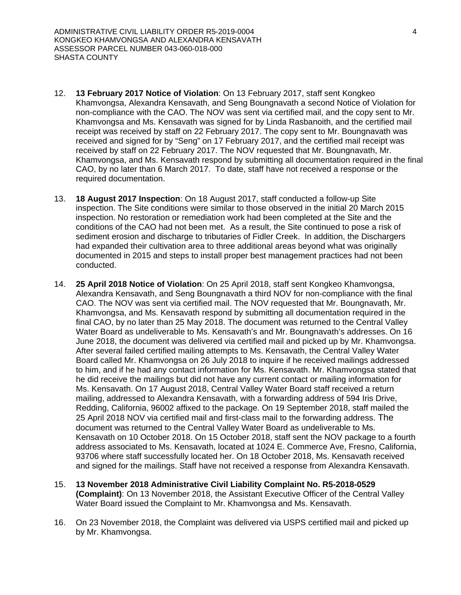- 12. **13 February 2017 Notice of Violation**: On 13 February 2017, staff sent Kongkeo Khamvongsa, Alexandra Kensavath, and Seng Boungnavath a second Notice of Violation for non-compliance with the CAO. The NOV was sent via certified mail, and the copy sent to Mr. Khamvongsa and Ms. Kensavath was signed for by Linda Rasbanoith, and the certified mail receipt was received by staff on 22 February 2017. The copy sent to Mr. Boungnavath was received and signed for by "Seng" on 17 February 2017, and the certified mail receipt was received by staff on 22 February 2017. The NOV requested that Mr. Boungnavath, Mr. Khamvongsa, and Ms. Kensavath respond by submitting all documentation required in the final CAO, by no later than 6 March 2017. To date, staff have not received a response or the required documentation.
- 13. **18 August 2017 Inspection**: On 18 August 2017, staff conducted a follow-up Site inspection. The Site conditions were similar to those observed in the initial 20 March 2015 inspection. No restoration or remediation work had been completed at the Site and the conditions of the CAO had not been met. As a result, the Site continued to pose a risk of sediment erosion and discharge to tributaries of Fidler Creek. In addition, the Dischargers had expanded their cultivation area to three additional areas beyond what was originally documented in 2015 and steps to install proper best management practices had not been conducted.
- 14. **25 April 2018 Notice of Violation**: On 25 April 2018, staff sent Kongkeo Khamvongsa, Alexandra Kensavath, and Seng Boungnavath a third NOV for non-compliance with the final CAO. The NOV was sent via certified mail. The NOV requested that Mr. Boungnavath, Mr. Khamvongsa, and Ms. Kensavath respond by submitting all documentation required in the final CAO, by no later than 25 May 2018. The document was returned to the Central Valley Water Board as undeliverable to Ms. Kensavath's and Mr. Boungnavath's addresses. On 16 June 2018, the document was delivered via certified mail and picked up by Mr. Khamvongsa. After several failed certified mailing attempts to Ms. Kensavath, the Central Valley Water Board called Mr. Khamvongsa on 26 July 2018 to inquire if he received mailings addressed to him, and if he had any contact information for Ms. Kensavath. Mr. Khamvongsa stated that he did receive the mailings but did not have any current contact or mailing information for Ms. Kensavath. On 17 August 2018, Central Valley Water Board staff received a return mailing, addressed to Alexandra Kensavath, with a forwarding address of 594 Iris Drive, Redding, California, 96002 affixed to the package. On 19 September 2018, staff mailed the 25 April 2018 NOV via certified mail and first-class mail to the forwarding address. The document was returned to the Central Valley Water Board as undeliverable to Ms. Kensavath on 10 October 2018. On 15 October 2018, staff sent the NOV package to a fourth address associated to Ms. Kensavath, located at 1024 E. Commerce Ave, Fresno, California, 93706 where staff successfully located her. On 18 October 2018, Ms. Kensavath received and signed for the mailings. Staff have not received a response from Alexandra Kensavath.
- 15. **13 November 2018 Administrative Civil Liability Complaint No. R5-2018-0529 (Complaint)**: On 13 November 2018, the Assistant Executive Officer of the Central Valley Water Board issued the Complaint to Mr. Khamvongsa and Ms. Kensavath.
- 16. On 23 November 2018, the Complaint was delivered via USPS certified mail and picked up by Mr. Khamvongsa.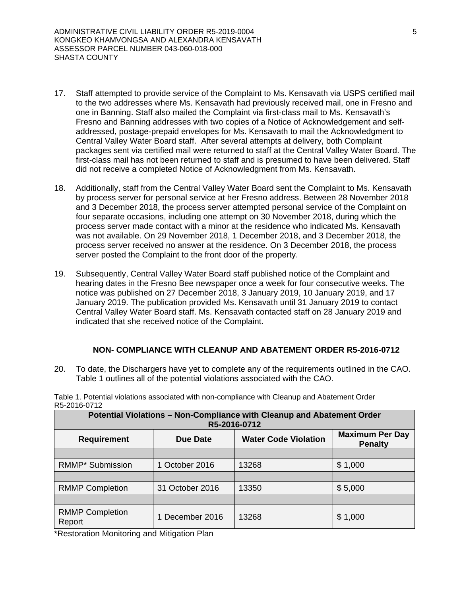- 17. Staff attempted to provide service of the Complaint to Ms. Kensavath via USPS certified mail to the two addresses where Ms. Kensavath had previously received mail, one in Fresno and one in Banning. Staff also mailed the Complaint via first-class mail to Ms. Kensavath's Fresno and Banning addresses with two copies of a Notice of Acknowledgement and selfaddressed, postage-prepaid envelopes for Ms. Kensavath to mail the Acknowledgment to Central Valley Water Board staff. After several attempts at delivery, both Complaint packages sent via certified mail were returned to staff at the Central Valley Water Board. The first-class mail has not been returned to staff and is presumed to have been delivered. Staff did not receive a completed Notice of Acknowledgment from Ms. Kensavath.
- 18. Additionally, staff from the Central Valley Water Board sent the Complaint to Ms. Kensavath by process server for personal service at her Fresno address. Between 28 November 2018 and 3 December 2018, the process server attempted personal service of the Complaint on four separate occasions, including one attempt on 30 November 2018, during which the process server made contact with a minor at the residence who indicated Ms. Kensavath was not available. On 29 November 2018, 1 December 2018, and 3 December 2018, the process server received no answer at the residence. On 3 December 2018, the process server posted the Complaint to the front door of the property.
- 19. Subsequently, Central Valley Water Board staff published notice of the Complaint and hearing dates in the Fresno Bee newspaper once a week for four consecutive weeks. The notice was published on 27 December 2018, 3 January 2019, 10 January 2019, and 17 January 2019. The publication provided Ms. Kensavath until 31 January 2019 to contact Central Valley Water Board staff. Ms. Kensavath contacted staff on 28 January 2019 and indicated that she received notice of the Complaint.

#### **NON- COMPLIANCE WITH CLEANUP AND ABATEMENT ORDER R5-2016-0712**

20. To date, the Dischargers have yet to complete any of the requirements outlined in the CAO. Table 1 outlines all of the potential violations associated with the CAO.

| Potential Violations - Non-Compliance with Cleanup and Abatement Order<br>R5-2016-0712 |                 |                             |                                          |  |  |  |
|----------------------------------------------------------------------------------------|-----------------|-----------------------------|------------------------------------------|--|--|--|
| <b>Requirement</b>                                                                     | <b>Due Date</b> | <b>Water Code Violation</b> | <b>Maximum Per Day</b><br><b>Penalty</b> |  |  |  |
|                                                                                        |                 |                             |                                          |  |  |  |
| RMMP* Submission                                                                       | 1 October 2016  | 13268                       | \$1,000                                  |  |  |  |
|                                                                                        |                 |                             |                                          |  |  |  |
| <b>RMMP Completion</b>                                                                 | 31 October 2016 | 13350                       | \$5,000                                  |  |  |  |
|                                                                                        |                 |                             |                                          |  |  |  |
| <b>RMMP Completion</b><br>Report                                                       | 1 December 2016 | 13268                       | \$1,000                                  |  |  |  |

Table 1. Potential violations associated with non-compliance with Cleanup and Abatement Order R5-2016-0712

\*Restoration Monitoring and Mitigation Plan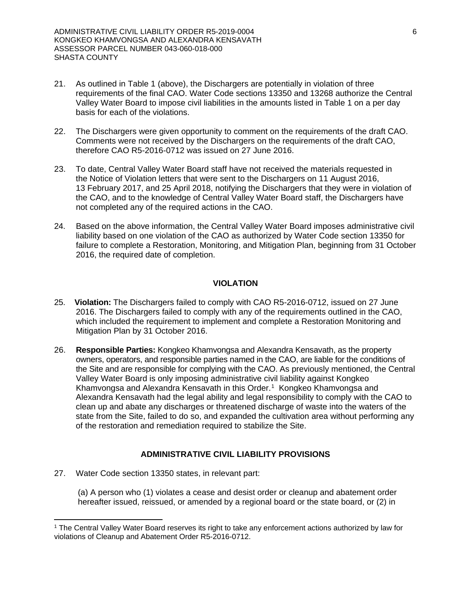- 21. As outlined in Table 1 (above), the Dischargers are potentially in violation of three requirements of the final CAO. Water Code sections 13350 and 13268 authorize the Central Valley Water Board to impose civil liabilities in the amounts listed in Table 1 on a per day basis for each of the violations.
- 22. The Dischargers were given opportunity to comment on the requirements of the draft CAO. Comments were not received by the Dischargers on the requirements of the draft CAO, therefore CAO R5-2016-0712 was issued on 27 June 2016.
- 23. To date, Central Valley Water Board staff have not received the materials requested in the Notice of Violation letters that were sent to the Dischargers on 11 August 2016, 13 February 2017, and 25 April 2018, notifying the Dischargers that they were in violation of the CAO, and to the knowledge of Central Valley Water Board staff, the Dischargers have not completed any of the required actions in the CAO.
- 24. Based on the above information, the Central Valley Water Board imposes administrative civil liability based on one violation of the CAO as authorized by Water Code section 13350 for failure to complete a Restoration, Monitoring, and Mitigation Plan, beginning from 31 October 2016, the required date of completion.

### **VIOLATION**

- 25. **Violation:** The Dischargers failed to comply with CAO R5-2016-0712, issued on 27 June 2016. The Dischargers failed to comply with any of the requirements outlined in the CAO, which included the requirement to implement and complete a Restoration Monitoring and Mitigation Plan by 31 October 2016.
- 26. **Responsible Parties:** Kongkeo Khamvongsa and Alexandra Kensavath, as the property owners, operators, and responsible parties named in the CAO, are liable for the conditions of the Site and are responsible for complying with the CAO. As previously mentioned, the Central Valley Water Board is only imposing administrative civil liability against Kongkeo Khamvongsa and Alexandra Kensavath in this Order.<sup>[1](#page-5-0)</sup> Kongkeo Khamvongsa and Alexandra Kensavath had the legal ability and legal responsibility to comply with the CAO to clean up and abate any discharges or threatened discharge of waste into the waters of the state from the Site, failed to do so, and expanded the cultivation area without performing any of the restoration and remediation required to stabilize the Site.

### **ADMINISTRATIVE CIVIL LIABILITY PROVISIONS**

27. Water Code section 13350 states, in relevant part:

(a) A person who (1) violates a cease and desist order or cleanup and abatement order hereafter issued, reissued, or amended by a regional board or the state board, or (2) in

<span id="page-5-0"></span> <sup>1</sup> The Central Valley Water Board reserves its right to take any enforcement actions authorized by law for violations of Cleanup and Abatement Order R5-2016-0712.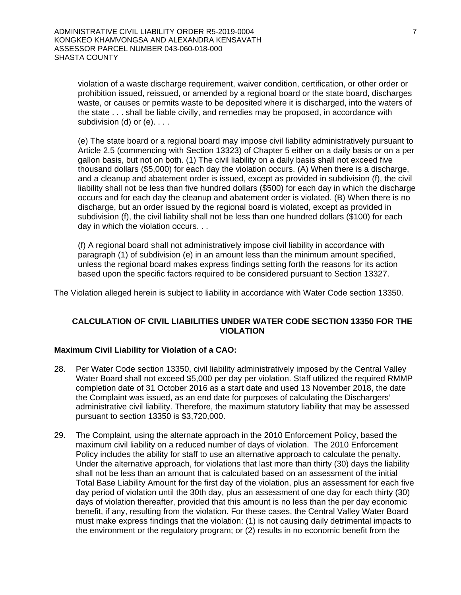violation of a waste discharge requirement, waiver condition, certification, or other order or prohibition issued, reissued, or amended by a regional board or the state board, discharges waste, or causes or permits waste to be deposited where it is discharged, into the waters of the state . . . shall be liable civilly, and remedies may be proposed, in accordance with subdivision (d) or (e). . . .

(e) The state board or a regional board may impose civil liability administratively pursuant to Article 2.5 (commencing with Section 13323) of Chapter 5 either on a daily basis or on a per gallon basis, but not on both. (1) The civil liability on a daily basis shall not exceed five thousand dollars (\$5,000) for each day the violation occurs. (A) When there is a discharge, and a cleanup and abatement order is issued, except as provided in subdivision (f), the civil liability shall not be less than five hundred dollars (\$500) for each day in which the discharge occurs and for each day the cleanup and abatement order is violated. (B) When there is no discharge, but an order issued by the regional board is violated, except as provided in subdivision (f), the civil liability shall not be less than one hundred dollars (\$100) for each day in which the violation occurs. . .

(f) A regional board shall not administratively impose civil liability in accordance with paragraph (1) of subdivision (e) in an amount less than the minimum amount specified, unless the regional board makes express findings setting forth the reasons for its action based upon the specific factors required to be considered pursuant to Section 13327.

The Violation alleged herein is subject to liability in accordance with Water Code section 13350.

#### **CALCULATION OF CIVIL LIABILITIES UNDER WATER CODE SECTION 13350 FOR THE VIOLATION**

#### **Maximum Civil Liability for Violation of a CAO:**

- 28. Per Water Code section 13350, civil liability administratively imposed by the Central Valley Water Board shall not exceed \$5,000 per day per violation. Staff utilized the required RMMP completion date of 31 October 2016 as a start date and used 13 November 2018, the date the Complaint was issued, as an end date for purposes of calculating the Dischargers' administrative civil liability. Therefore, the maximum statutory liability that may be assessed pursuant to section 13350 is \$3,720,000.
- 29. The Complaint, using the alternate approach in the 2010 Enforcement Policy, based the maximum civil liability on a reduced number of days of violation. The 2010 Enforcement Policy includes the ability for staff to use an alternative approach to calculate the penalty. Under the alternative approach, for violations that last more than thirty (30) days the liability shall not be less than an amount that is calculated based on an assessment of the initial Total Base Liability Amount for the first day of the violation, plus an assessment for each five day period of violation until the 30th day, plus an assessment of one day for each thirty (30) days of violation thereafter, provided that this amount is no less than the per day economic benefit, if any, resulting from the violation. For these cases, the Central Valley Water Board must make express findings that the violation: (1) is not causing daily detrimental impacts to the environment or the regulatory program; or (2) results in no economic benefit from the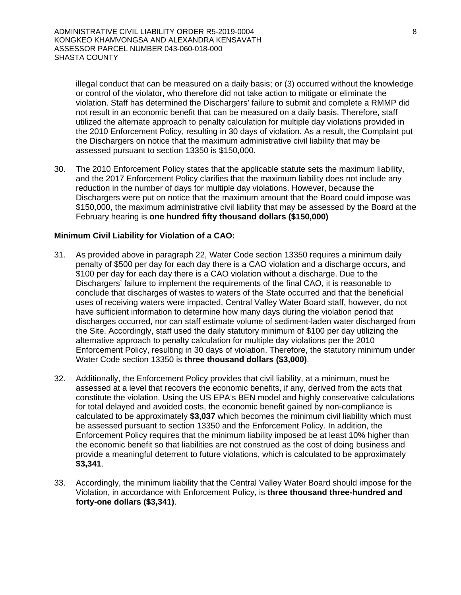illegal conduct that can be measured on a daily basis; or (3) occurred without the knowledge or control of the violator, who therefore did not take action to mitigate or eliminate the violation. Staff has determined the Dischargers' failure to submit and complete a RMMP did not result in an economic benefit that can be measured on a daily basis. Therefore, staff utilized the alternate approach to penalty calculation for multiple day violations provided in the 2010 Enforcement Policy, resulting in 30 days of violation. As a result, the Complaint put the Dischargers on notice that the maximum administrative civil liability that may be assessed pursuant to section 13350 is \$150,000.

30. The 2010 Enforcement Policy states that the applicable statute sets the maximum liability, and the 2017 Enforcement Policy clarifies that the maximum liability does not include any reduction in the number of days for multiple day violations. However, because the Dischargers were put on notice that the maximum amount that the Board could impose was \$150,000, the maximum administrative civil liability that may be assessed by the Board at the February hearing is **one hundred fifty thousand dollars (\$150,000)**

#### **Minimum Civil Liability for Violation of a CAO:**

- 31. As provided above in paragraph 22, Water Code section 13350 requires a minimum daily penalty of \$500 per day for each day there is a CAO violation and a discharge occurs, and \$100 per day for each day there is a CAO violation without a discharge. Due to the Dischargers' failure to implement the requirements of the final CAO, it is reasonable to conclude that discharges of wastes to waters of the State occurred and that the beneficial uses of receiving waters were impacted. Central Valley Water Board staff, however, do not have sufficient information to determine how many days during the violation period that discharges occurred, nor can staff estimate volume of sediment-laden water discharged from the Site. Accordingly, staff used the daily statutory minimum of \$100 per day utilizing the alternative approach to penalty calculation for multiple day violations per the 2010 Enforcement Policy, resulting in 30 days of violation. Therefore, the statutory minimum under Water Code section 13350 is **three thousand dollars (\$3,000)**.
- 32. Additionally, the Enforcement Policy provides that civil liability, at a minimum, must be assessed at a level that recovers the economic benefits, if any, derived from the acts that constitute the violation. Using the US EPA's BEN model and highly conservative calculations for total delayed and avoided costs, the economic benefit gained by non-compliance is calculated to be approximately **\$3,037** which becomes the minimum civil liability which must be assessed pursuant to section 13350 and the Enforcement Policy. In addition, the Enforcement Policy requires that the minimum liability imposed be at least 10% higher than the economic benefit so that liabilities are not construed as the cost of doing business and provide a meaningful deterrent to future violations, which is calculated to be approximately **\$3,341**.
- 33. Accordingly, the minimum liability that the Central Valley Water Board should impose for the Violation, in accordance with Enforcement Policy, is **three thousand three-hundred and forty-one dollars (\$3,341)**.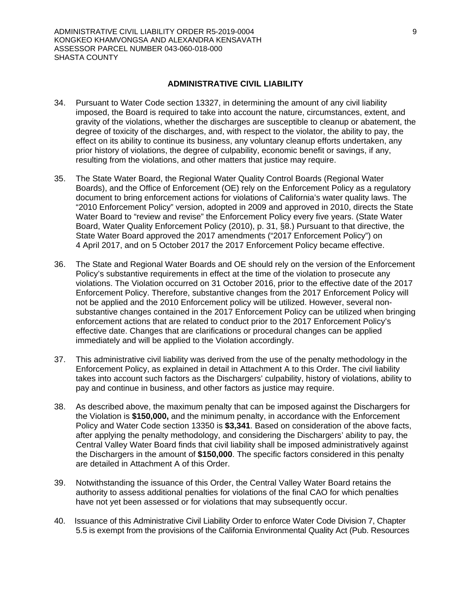#### **ADMINISTRATIVE CIVIL LIABILITY**

- 34. Pursuant to Water Code section 13327, in determining the amount of any civil liability imposed, the Board is required to take into account the nature, circumstances, extent, and gravity of the violations, whether the discharges are susceptible to cleanup or abatement, the degree of toxicity of the discharges, and, with respect to the violator, the ability to pay, the effect on its ability to continue its business, any voluntary cleanup efforts undertaken, any prior history of violations, the degree of culpability, economic benefit or savings, if any, resulting from the violations, and other matters that justice may require.
- 35. The State Water Board, the Regional Water Quality Control Boards (Regional Water Boards), and the Office of Enforcement (OE) rely on the Enforcement Policy as a regulatory document to bring enforcement actions for violations of California's water quality laws. The "2010 Enforcement Policy" version, adopted in 2009 and approved in 2010, directs the State Water Board to "review and revise" the Enforcement Policy every five years. (State Water Board, Water Quality Enforcement Policy (2010), p. 31, §8.) Pursuant to that directive, the State Water Board approved the 2017 amendments ("2017 Enforcement Policy") on 4 April 2017, and on 5 October 2017 the 2017 Enforcement Policy became effective.
- 36. The State and Regional Water Boards and OE should rely on the version of the Enforcement Policy's substantive requirements in effect at the time of the violation to prosecute any violations. The Violation occurred on 31 October 2016, prior to the effective date of the 2017 Enforcement Policy. Therefore, substantive changes from the 2017 Enforcement Policy will not be applied and the 2010 Enforcement policy will be utilized. However, several nonsubstantive changes contained in the 2017 Enforcement Policy can be utilized when bringing enforcement actions that are related to conduct prior to the 2017 Enforcement Policy's effective date. Changes that are clarifications or procedural changes can be applied immediately and will be applied to the Violation accordingly.
- 37. This administrative civil liability was derived from the use of the penalty methodology in the Enforcement Policy, as explained in detail in Attachment A to this Order. The civil liability takes into account such factors as the Dischargers' culpability, history of violations, ability to pay and continue in business, and other factors as justice may require.
- 38. As described above, the maximum penalty that can be imposed against the Dischargers for the Violation is **\$150,000,** and the minimum penalty, in accordance with the Enforcement Policy and Water Code section 13350 is **\$3,341**. Based on consideration of the above facts, after applying the penalty methodology, and considering the Dischargers' ability to pay, the Central Valley Water Board finds that civil liability shall be imposed administratively against the Dischargers in the amount of **\$150,000**. The specific factors considered in this penalty are detailed in Attachment A of this Order.
- 39. Notwithstanding the issuance of this Order, the Central Valley Water Board retains the authority to assess additional penalties for violations of the final CAO for which penalties have not yet been assessed or for violations that may subsequently occur.
- 40. Issuance of this Administrative Civil Liability Order to enforce Water Code Division 7, Chapter 5.5 is exempt from the provisions of the California Environmental Quality Act (Pub. Resources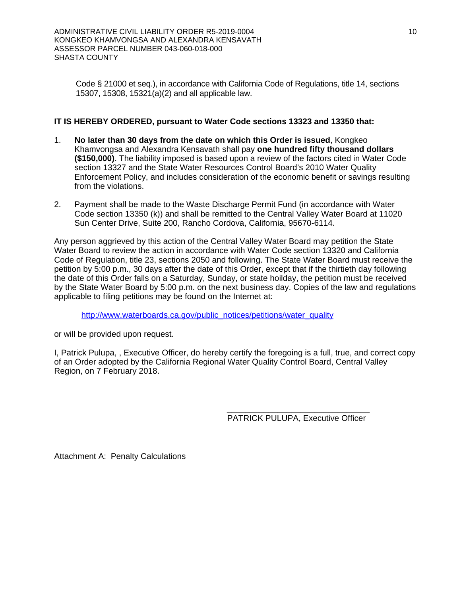Code § 21000 et seq.), in accordance with California Code of Regulations, title 14, sections 15307, 15308, 15321(a)(2) and all applicable law.

### **IT IS HEREBY ORDERED, pursuant to Water Code sections 13323 and 13350 that:**

- 1. **No later than 30 days from the date on which this Order is issued**, Kongkeo Khamvongsa and Alexandra Kensavath shall pay **one hundred fifty thousand dollars (\$150,000)**. The liability imposed is based upon a review of the factors cited in Water Code section 13327 and the State Water Resources Control Board's 2010 Water Quality Enforcement Policy, and includes consideration of the economic benefit or savings resulting from the violations.
- 2. Payment shall be made to the Waste Discharge Permit Fund (in accordance with Water Code section 13350 (k)) and shall be remitted to the Central Valley Water Board at 11020 Sun Center Drive, Suite 200, Rancho Cordova, California, 95670-6114.

Any person aggrieved by this action of the Central Valley Water Board may petition the State Water Board to review the action in accordance with Water Code section 13320 and California Code of Regulation, title 23, sections 2050 and following. The State Water Board must receive the petition by 5:00 p.m., 30 days after the date of this Order, except that if the thirtieth day following the date of this Order falls on a Saturday, Sunday, or state hoilday, the petition must be received by the State Water Board by 5:00 p.m. on the next business day. Copies of the law and regulations applicable to filing petitions may be found on the Internet at:

[http://www.waterboards.ca.gov/public\\_notices/petitions/water\\_quality](http://www.waterboards.ca.gov/public_notices/petitions/water_quality)

or will be provided upon request.

I, Patrick Pulupa, , Executive Officer, do hereby certify the foregoing is a full, true, and correct copy of an Order adopted by the California Regional Water Quality Control Board, Central Valley Region, on 7 February 2018.

> \_\_\_\_\_\_\_\_\_\_\_\_\_\_\_\_\_\_\_\_\_\_\_\_\_\_\_\_\_\_\_ PATRICK PULUPA, Executive Officer

Attachment A: Penalty Calculations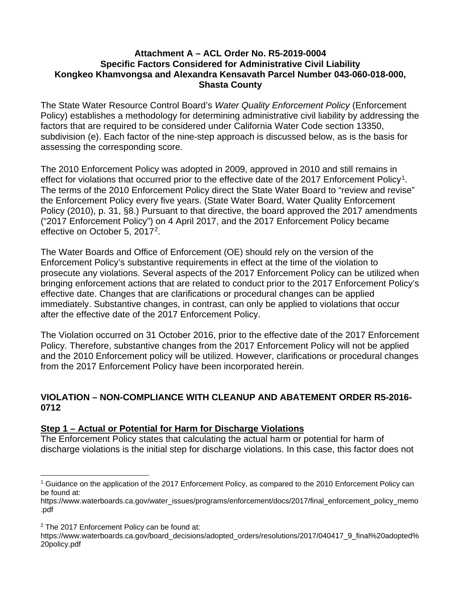### **Attachment A – ACL Order No. R5-2019-0004 Specific Factors Considered for Administrative Civil Liability Kongkeo Khamvongsa and Alexandra Kensavath Parcel Number 043-060-018-000, Shasta County**

The State Water Resource Control Board's *Water Quality Enforcement Policy* (Enforcement Policy) establishes a methodology for determining administrative civil liability by addressing the factors that are required to be considered under California Water Code section 13350, subdivision (e). Each factor of the nine-step approach is discussed below, as is the basis for assessing the corresponding score.

The 2010 Enforcement Policy was adopted in 2009, approved in 2010 and still remains in effect for violations that occurred prior to the effective date of the 2017 Enforcement Policy<sup>1</sup>. The terms of the 2010 Enforcement Policy direct the State Water Board to "review and revise" the Enforcement Policy every five years. (State Water Board, Water Quality Enforcement Policy (2010), p. 31, §8.) Pursuant to that directive, the board approved the 2017 amendments ("2017 Enforcement Policy") on 4 April 2017, and the 2017 Enforcement Policy became effective on October 5, 2017[2.](#page-10-1)

The Water Boards and Office of Enforcement (OE) should rely on the version of the Enforcement Policy's substantive requirements in effect at the time of the violation to prosecute any violations. Several aspects of the 2017 Enforcement Policy can be utilized when bringing enforcement actions that are related to conduct prior to the 2017 Enforcement Policy's effective date. Changes that are clarifications or procedural changes can be applied immediately. Substantive changes, in contrast, can only be applied to violations that occur after the effective date of the 2017 Enforcement Policy.

The Violation occurred on 31 October 2016, prior to the effective date of the 2017 Enforcement Policy. Therefore, substantive changes from the 2017 Enforcement Policy will not be applied and the 2010 Enforcement policy will be utilized. However, clarifications or procedural changes from the 2017 Enforcement Policy have been incorporated herein.

## **VIOLATION – NON-COMPLIANCE WITH CLEANUP AND ABATEMENT ORDER R5-2016- 0712**

## **Step 1 – Actual or Potential for Harm for Discharge Violations**

The Enforcement Policy states that calculating the actual harm or potential for harm of discharge violations is the initial step for discharge violations. In this case, this factor does not

<span id="page-10-0"></span> $\overline{a}$ <sup>1</sup> Guidance on the application of the 2017 Enforcement Policy, as compared to the 2010 Enforcement Policy can be found at:

https://www.waterboards.ca.gov/water\_issues/programs/enforcement/docs/2017/final\_enforcement\_policy\_memo .pdf

<span id="page-10-1"></span><sup>&</sup>lt;sup>2</sup> The 2017 Enforcement Policy can be found at:

https://www.waterboards.ca.gov/board\_decisions/adopted\_orders/resolutions/2017/040417\_9\_final%20adopted% 20policy.pdf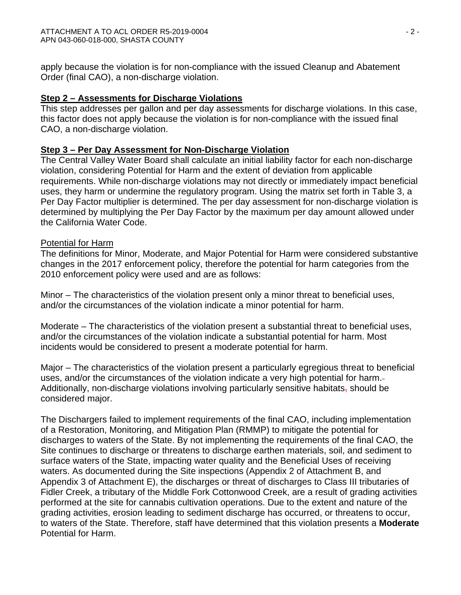apply because the violation is for non-compliance with the issued Cleanup and Abatement Order (final CAO), a non-discharge violation.

### **Step 2 – Assessments for Discharge Violations**

This step addresses per gallon and per day assessments for discharge violations. In this case, this factor does not apply because the violation is for non-compliance with the issued final CAO, a non-discharge violation.

## **Step 3 – Per Day Assessment for Non-Discharge Violation**

The Central Valley Water Board shall calculate an initial liability factor for each non-discharge violation, considering Potential for Harm and the extent of deviation from applicable requirements. While non-discharge violations may not directly or immediately impact beneficial uses, they harm or undermine the regulatory program. Using the matrix set forth in Table 3, a Per Day Factor multiplier is determined. The per day assessment for non-discharge violation is determined by multiplying the Per Day Factor by the maximum per day amount allowed under the California Water Code.

### Potential for Harm

The definitions for Minor, Moderate, and Major Potential for Harm were considered substantive changes in the 2017 enforcement policy, therefore the potential for harm categories from the 2010 enforcement policy were used and are as follows:

Minor – The characteristics of the violation present only a minor threat to beneficial uses, and/or the circumstances of the violation indicate a minor potential for harm.

Moderate – The characteristics of the violation present a substantial threat to beneficial uses, and/or the circumstances of the violation indicate a substantial potential for harm. Most incidents would be considered to present a moderate potential for harm.

Major – The characteristics of the violation present a particularly egregious threat to beneficial uses, and/or the circumstances of the violation indicate a very high potential for harm. Additionally, non-discharge violations involving particularly sensitive habitats, should be considered major.

The Dischargers failed to implement requirements of the final CAO, including implementation of a Restoration, Monitoring, and Mitigation Plan (RMMP) to mitigate the potential for discharges to waters of the State. By not implementing the requirements of the final CAO, the Site continues to discharge or threatens to discharge earthen materials, soil, and sediment to surface waters of the State, impacting water quality and the Beneficial Uses of receiving waters. As documented during the Site inspections (Appendix 2 of Attachment B, and Appendix 3 of Attachment E), the discharges or threat of discharges to Class III tributaries of Fidler Creek, a tributary of the Middle Fork Cottonwood Creek, are a result of grading activities performed at the site for cannabis cultivation operations. Due to the extent and nature of the grading activities, erosion leading to sediment discharge has occurred, or threatens to occur, to waters of the State. Therefore, staff have determined that this violation presents a **Moderate** Potential for Harm.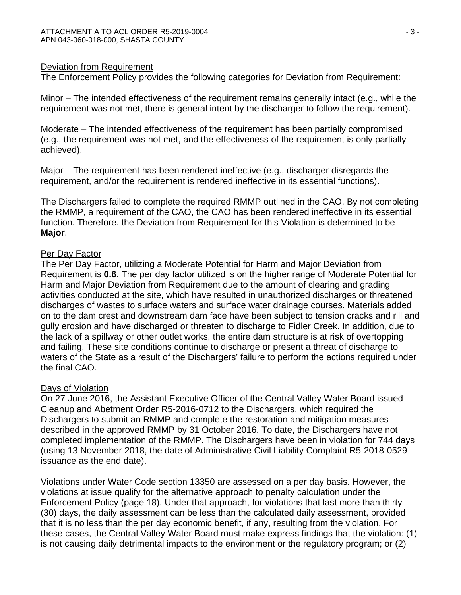### Deviation from Requirement

The Enforcement Policy provides the following categories for Deviation from Requirement:

Minor – The intended effectiveness of the requirement remains generally intact (e.g., while the requirement was not met, there is general intent by the discharger to follow the requirement).

Moderate – The intended effectiveness of the requirement has been partially compromised (e.g., the requirement was not met, and the effectiveness of the requirement is only partially achieved).

Major – The requirement has been rendered ineffective (e.g., discharger disregards the requirement, and/or the requirement is rendered ineffective in its essential functions).

The Dischargers failed to complete the required RMMP outlined in the CAO. By not completing the RMMP, a requirement of the CAO, the CAO has been rendered ineffective in its essential function. Therefore, the Deviation from Requirement for this Violation is determined to be **Major**.

### Per Day Factor

The Per Day Factor, utilizing a Moderate Potential for Harm and Major Deviation from Requirement is **0.6**. The per day factor utilized is on the higher range of Moderate Potential for Harm and Major Deviation from Requirement due to the amount of clearing and grading activities conducted at the site, which have resulted in unauthorized discharges or threatened discharges of wastes to surface waters and surface water drainage courses. Materials added on to the dam crest and downstream dam face have been subject to tension cracks and rill and gully erosion and have discharged or threaten to discharge to Fidler Creek. In addition, due to the lack of a spillway or other outlet works, the entire dam structure is at risk of overtopping and failing. These site conditions continue to discharge or present a threat of discharge to waters of the State as a result of the Dischargers' failure to perform the actions required under the final CAO.

### Days of Violation

On 27 June 2016, the Assistant Executive Officer of the Central Valley Water Board issued Cleanup and Abetment Order R5-2016-0712 to the Dischargers, which required the Dischargers to submit an RMMP and complete the restoration and mitigation measures described in the approved RMMP by 31 October 2016. To date, the Dischargers have not completed implementation of the RMMP. The Dischargers have been in violation for 744 days (using 13 November 2018, the date of Administrative Civil Liability Complaint R5-2018-0529 issuance as the end date).

Violations under Water Code section 13350 are assessed on a per day basis. However, the violations at issue qualify for the alternative approach to penalty calculation under the Enforcement Policy (page 18). Under that approach, for violations that last more than thirty (30) days, the daily assessment can be less than the calculated daily assessment, provided that it is no less than the per day economic benefit, if any, resulting from the violation. For these cases, the Central Valley Water Board must make express findings that the violation: (1) is not causing daily detrimental impacts to the environment or the regulatory program; or (2)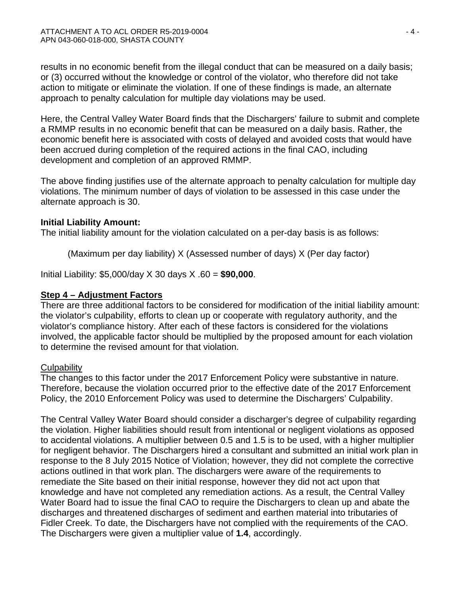results in no economic benefit from the illegal conduct that can be measured on a daily basis; or (3) occurred without the knowledge or control of the violator, who therefore did not take action to mitigate or eliminate the violation. If one of these findings is made, an alternate approach to penalty calculation for multiple day violations may be used.

Here, the Central Valley Water Board finds that the Dischargers' failure to submit and complete a RMMP results in no economic benefit that can be measured on a daily basis. Rather, the economic benefit here is associated with costs of delayed and avoided costs that would have been accrued during completion of the required actions in the final CAO, including development and completion of an approved RMMP.

The above finding justifies use of the alternate approach to penalty calculation for multiple day violations. The minimum number of days of violation to be assessed in this case under the alternate approach is 30.

## **Initial Liability Amount:**

The initial liability amount for the violation calculated on a per-day basis is as follows:

(Maximum per day liability) X (Assessed number of days) X (Per day factor)

Initial Liability: \$5,000/day X 30 days X .60 = **\$90,000**.

## **Step 4 – Adjustment Factors**

There are three additional factors to be considered for modification of the initial liability amount: the violator's culpability, efforts to clean up or cooperate with regulatory authority, and the violator's compliance history. After each of these factors is considered for the violations involved, the applicable factor should be multiplied by the proposed amount for each violation to determine the revised amount for that violation.

## **Culpability**

The changes to this factor under the 2017 Enforcement Policy were substantive in nature. Therefore, because the violation occurred prior to the effective date of the 2017 Enforcement Policy, the 2010 Enforcement Policy was used to determine the Dischargers' Culpability.

The Central Valley Water Board should consider a discharger's degree of culpability regarding the violation. Higher liabilities should result from intentional or negligent violations as opposed to accidental violations. A multiplier between 0.5 and 1.5 is to be used, with a higher multiplier for negligent behavior. The Dischargers hired a consultant and submitted an initial work plan in response to the 8 July 2015 Notice of Violation; however, they did not complete the corrective actions outlined in that work plan. The dischargers were aware of the requirements to remediate the Site based on their initial response, however they did not act upon that knowledge and have not completed any remediation actions. As a result, the Central Valley Water Board had to issue the final CAO to require the Dischargers to clean up and abate the discharges and threatened discharges of sediment and earthen material into tributaries of Fidler Creek. To date, the Dischargers have not complied with the requirements of the CAO. The Dischargers were given a multiplier value of **1.4**, accordingly.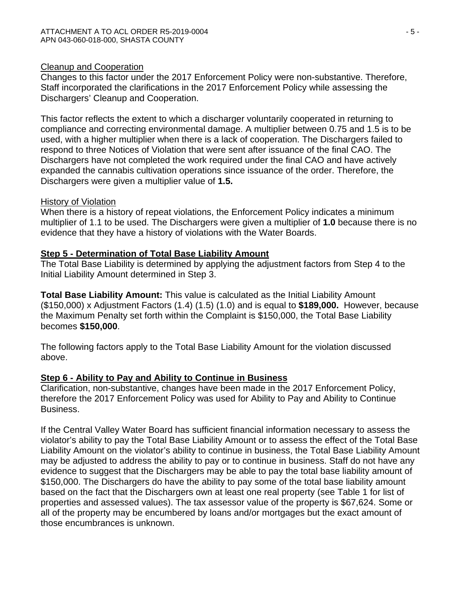### Cleanup and Cooperation

Changes to this factor under the 2017 Enforcement Policy were non-substantive. Therefore, Staff incorporated the clarifications in the 2017 Enforcement Policy while assessing the Dischargers' Cleanup and Cooperation.

This factor reflects the extent to which a discharger voluntarily cooperated in returning to compliance and correcting environmental damage. A multiplier between 0.75 and 1.5 is to be used, with a higher multiplier when there is a lack of cooperation. The Dischargers failed to respond to three Notices of Violation that were sent after issuance of the final CAO. The Dischargers have not completed the work required under the final CAO and have actively expanded the cannabis cultivation operations since issuance of the order. Therefore, the Dischargers were given a multiplier value of **1.5.**

### History of Violation

When there is a history of repeat violations, the Enforcement Policy indicates a minimum multiplier of 1.1 to be used. The Dischargers were given a multiplier of **1.0** because there is no evidence that they have a history of violations with the Water Boards.

## **Step 5 - Determination of Total Base Liability Amount**

The Total Base Liability is determined by applying the adjustment factors from Step 4 to the Initial Liability Amount determined in Step 3.

**Total Base Liability Amount:** This value is calculated as the Initial Liability Amount (\$150,000) x Adjustment Factors (1.4) (1.5) (1.0) and is equal to **\$189,000.** However, because the Maximum Penalty set forth within the Complaint is \$150,000, the Total Base Liability becomes **\$150,000**.

The following factors apply to the Total Base Liability Amount for the violation discussed above.

## **Step 6 - Ability to Pay and Ability to Continue in Business**

Clarification, non-substantive, changes have been made in the 2017 Enforcement Policy, therefore the 2017 Enforcement Policy was used for Ability to Pay and Ability to Continue Business.

If the Central Valley Water Board has sufficient financial information necessary to assess the violator's ability to pay the Total Base Liability Amount or to assess the effect of the Total Base Liability Amount on the violator's ability to continue in business, the Total Base Liability Amount may be adjusted to address the ability to pay or to continue in business. Staff do not have any evidence to suggest that the Dischargers may be able to pay the total base liability amount of \$150,000. The Dischargers do have the ability to pay some of the total base liability amount based on the fact that the Dischargers own at least one real property (see Table 1 for list of properties and assessed values). The tax assessor value of the property is \$67,624. Some or all of the property may be encumbered by loans and/or mortgages but the exact amount of those encumbrances is unknown.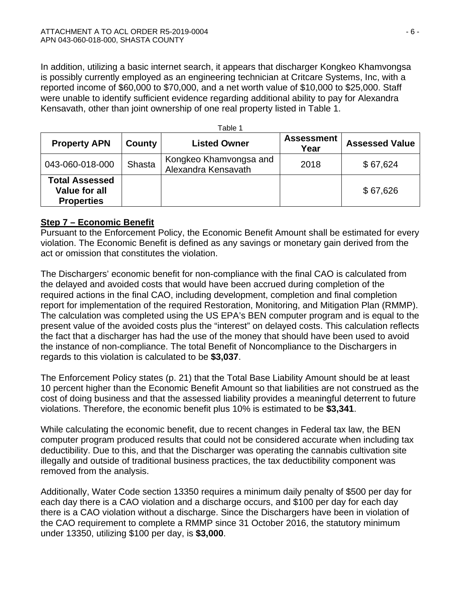In addition, utilizing a basic internet search, it appears that discharger Kongkeo Khamvongsa is possibly currently employed as an engineering technician at Critcare Systems, Inc, with a reported income of \$60,000 to \$70,000, and a net worth value of \$10,000 to \$25,000. Staff were unable to identify sufficient evidence regarding additional ability to pay for Alexandra Kensavath, other than joint ownership of one real property listed in Table 1.

| Table 1                                                     |               |                                               |                           |                       |  |  |
|-------------------------------------------------------------|---------------|-----------------------------------------------|---------------------------|-----------------------|--|--|
| <b>Property APN</b>                                         | County        | <b>Listed Owner</b>                           | <b>Assessment</b><br>Year | <b>Assessed Value</b> |  |  |
| 043-060-018-000                                             | <b>Shasta</b> | Kongkeo Khamvongsa and<br>Alexandra Kensavath | 2018                      | \$67,624              |  |  |
| <b>Total Assessed</b><br>Value for all<br><b>Properties</b> |               |                                               |                           | \$67,626              |  |  |

## **Step 7 – Economic Benefit**

Pursuant to the Enforcement Policy, the Economic Benefit Amount shall be estimated for every violation. The Economic Benefit is defined as any savings or monetary gain derived from the act or omission that constitutes the violation.

The Dischargers' economic benefit for non-compliance with the final CAO is calculated from the delayed and avoided costs that would have been accrued during completion of the required actions in the final CAO, including development, completion and final completion report for implementation of the required Restoration, Monitoring, and Mitigation Plan (RMMP). The calculation was completed using the US EPA's BEN computer program and is equal to the present value of the avoided costs plus the "interest" on delayed costs. This calculation reflects the fact that a discharger has had the use of the money that should have been used to avoid the instance of non-compliance. The total Benefit of Noncompliance to the Dischargers in regards to this violation is calculated to be **\$3,037**.

The Enforcement Policy states (p. 21) that the Total Base Liability Amount should be at least 10 percent higher than the Economic Benefit Amount so that liabilities are not construed as the cost of doing business and that the assessed liability provides a meaningful deterrent to future violations. Therefore, the economic benefit plus 10% is estimated to be **\$3,341**.

While calculating the economic benefit, due to recent changes in Federal tax law, the BEN computer program produced results that could not be considered accurate when including tax deductibility. Due to this, and that the Discharger was operating the cannabis cultivation site illegally and outside of traditional business practices, the tax deductibility component was removed from the analysis.

Additionally, Water Code section 13350 requires a minimum daily penalty of \$500 per day for each day there is a CAO violation and a discharge occurs, and \$100 per day for each day there is a CAO violation without a discharge. Since the Dischargers have been in violation of the CAO requirement to complete a RMMP since 31 October 2016, the statutory minimum under 13350, utilizing \$100 per day, is **\$3,000**.